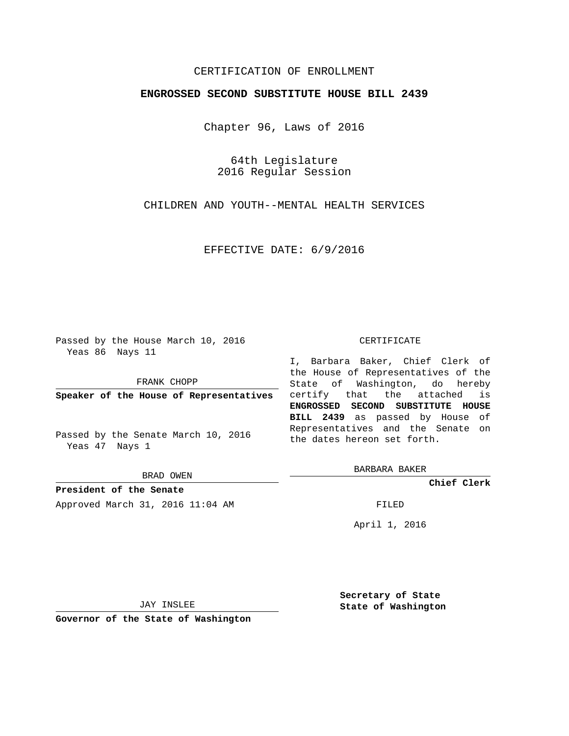## CERTIFICATION OF ENROLLMENT

## **ENGROSSED SECOND SUBSTITUTE HOUSE BILL 2439**

Chapter 96, Laws of 2016

64th Legislature 2016 Regular Session

CHILDREN AND YOUTH--MENTAL HEALTH SERVICES

EFFECTIVE DATE: 6/9/2016

Passed by the House March 10, 2016 Yeas 86 Nays 11

FRANK CHOPP

**Speaker of the House of Representatives**

Passed by the Senate March 10, 2016 Yeas 47 Nays 1

BRAD OWEN

**President of the Senate** Approved March 31, 2016 11:04 AM FILED

#### CERTIFICATE

I, Barbara Baker, Chief Clerk of the House of Representatives of the State of Washington, do hereby certify that the attached is **ENGROSSED SECOND SUBSTITUTE HOUSE BILL 2439** as passed by House of Representatives and the Senate on the dates hereon set forth.

BARBARA BAKER

**Chief Clerk**

April 1, 2016

JAY INSLEE

**Governor of the State of Washington**

**Secretary of State State of Washington**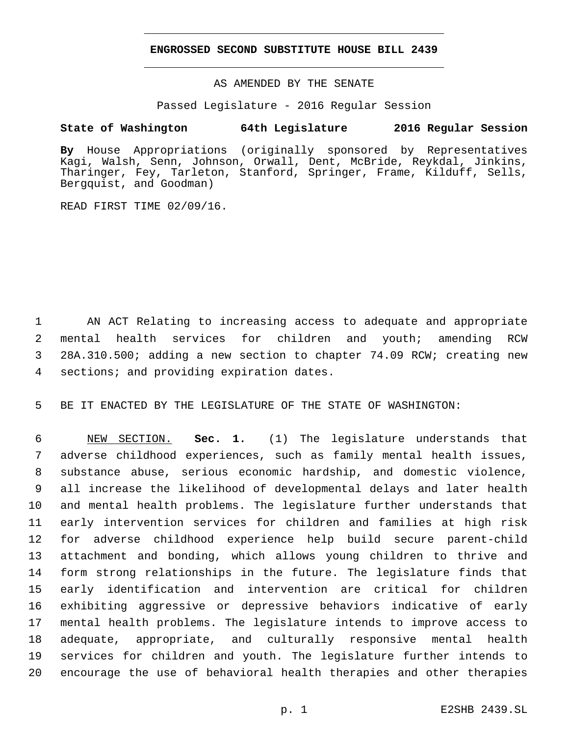## **ENGROSSED SECOND SUBSTITUTE HOUSE BILL 2439**

AS AMENDED BY THE SENATE

Passed Legislature - 2016 Regular Session

# **State of Washington 64th Legislature 2016 Regular Session**

**By** House Appropriations (originally sponsored by Representatives Kagi, Walsh, Senn, Johnson, Orwall, Dent, McBride, Reykdal, Jinkins, Tharinger, Fey, Tarleton, Stanford, Springer, Frame, Kilduff, Sells, Bergquist, and Goodman)

READ FIRST TIME 02/09/16.

 AN ACT Relating to increasing access to adequate and appropriate mental health services for children and youth; amending RCW 28A.310.500; adding a new section to chapter 74.09 RCW; creating new 4 sections; and providing expiration dates.

BE IT ENACTED BY THE LEGISLATURE OF THE STATE OF WASHINGTON:

 NEW SECTION. **Sec. 1.** (1) The legislature understands that adverse childhood experiences, such as family mental health issues, substance abuse, serious economic hardship, and domestic violence, all increase the likelihood of developmental delays and later health and mental health problems. The legislature further understands that early intervention services for children and families at high risk for adverse childhood experience help build secure parent-child attachment and bonding, which allows young children to thrive and form strong relationships in the future. The legislature finds that early identification and intervention are critical for children exhibiting aggressive or depressive behaviors indicative of early mental health problems. The legislature intends to improve access to adequate, appropriate, and culturally responsive mental health services for children and youth. The legislature further intends to encourage the use of behavioral health therapies and other therapies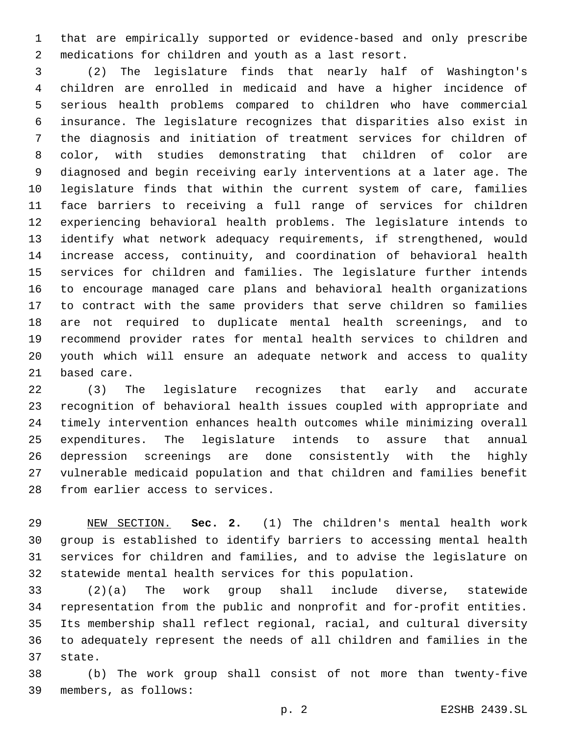that are empirically supported or evidence-based and only prescribe medications for children and youth as a last resort.

 (2) The legislature finds that nearly half of Washington's children are enrolled in medicaid and have a higher incidence of serious health problems compared to children who have commercial insurance. The legislature recognizes that disparities also exist in the diagnosis and initiation of treatment services for children of color, with studies demonstrating that children of color are diagnosed and begin receiving early interventions at a later age. The legislature finds that within the current system of care, families face barriers to receiving a full range of services for children experiencing behavioral health problems. The legislature intends to identify what network adequacy requirements, if strengthened, would increase access, continuity, and coordination of behavioral health services for children and families. The legislature further intends to encourage managed care plans and behavioral health organizations to contract with the same providers that serve children so families are not required to duplicate mental health screenings, and to recommend provider rates for mental health services to children and youth which will ensure an adequate network and access to quality 21 based care.

 (3) The legislature recognizes that early and accurate recognition of behavioral health issues coupled with appropriate and timely intervention enhances health outcomes while minimizing overall expenditures. The legislature intends to assure that annual depression screenings are done consistently with the highly vulnerable medicaid population and that children and families benefit 28 from earlier access to services.

 NEW SECTION. **Sec. 2.** (1) The children's mental health work group is established to identify barriers to accessing mental health services for children and families, and to advise the legislature on statewide mental health services for this population.

 (2)(a) The work group shall include diverse, statewide representation from the public and nonprofit and for-profit entities. Its membership shall reflect regional, racial, and cultural diversity to adequately represent the needs of all children and families in the 37 state.

 (b) The work group shall consist of not more than twenty-five members, as follows:39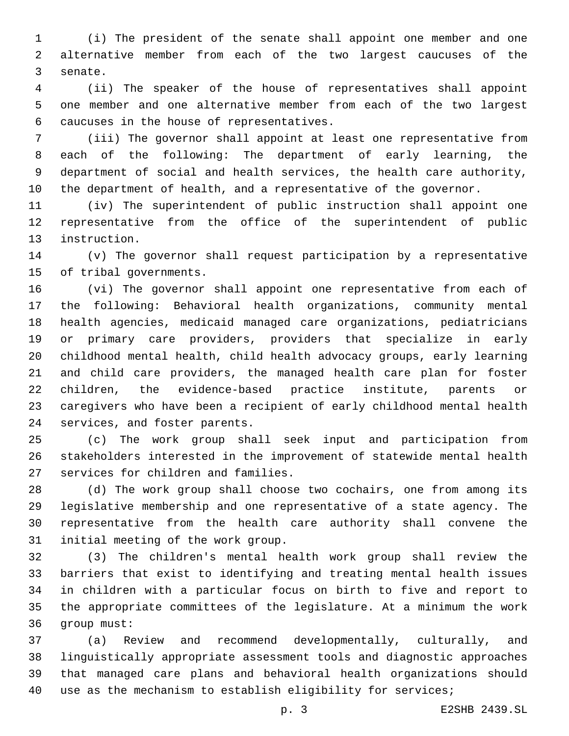(i) The president of the senate shall appoint one member and one alternative member from each of the two largest caucuses of the 3 senate.

 (ii) The speaker of the house of representatives shall appoint one member and one alternative member from each of the two largest 6 caucuses in the house of representatives.

 (iii) The governor shall appoint at least one representative from each of the following: The department of early learning, the department of social and health services, the health care authority, the department of health, and a representative of the governor.

 (iv) The superintendent of public instruction shall appoint one representative from the office of the superintendent of public 13 instruction.

 (v) The governor shall request participation by a representative 15 of tribal governments.

 (vi) The governor shall appoint one representative from each of the following: Behavioral health organizations, community mental health agencies, medicaid managed care organizations, pediatricians or primary care providers, providers that specialize in early childhood mental health, child health advocacy groups, early learning and child care providers, the managed health care plan for foster children, the evidence-based practice institute, parents or caregivers who have been a recipient of early childhood mental health 24 services, and foster parents.

 (c) The work group shall seek input and participation from stakeholders interested in the improvement of statewide mental health 27 services for children and families.

 (d) The work group shall choose two cochairs, one from among its legislative membership and one representative of a state agency. The representative from the health care authority shall convene the 31 initial meeting of the work group.

 (3) The children's mental health work group shall review the barriers that exist to identifying and treating mental health issues in children with a particular focus on birth to five and report to the appropriate committees of the legislature. At a minimum the work 36 group must:

 (a) Review and recommend developmentally, culturally, and linguistically appropriate assessment tools and diagnostic approaches that managed care plans and behavioral health organizations should use as the mechanism to establish eligibility for services;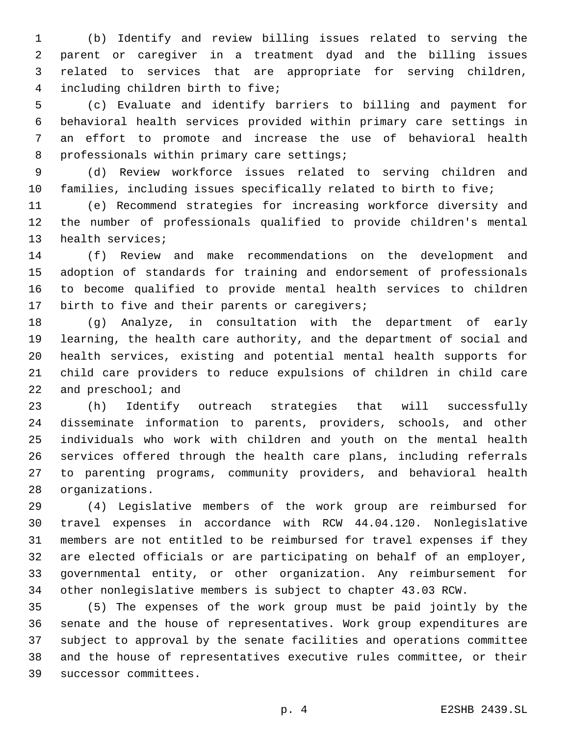(b) Identify and review billing issues related to serving the parent or caregiver in a treatment dyad and the billing issues related to services that are appropriate for serving children, including children birth to five;4

 (c) Evaluate and identify barriers to billing and payment for behavioral health services provided within primary care settings in an effort to promote and increase the use of behavioral health 8 professionals within primary care settings;

 (d) Review workforce issues related to serving children and families, including issues specifically related to birth to five;

 (e) Recommend strategies for increasing workforce diversity and the number of professionals qualified to provide children's mental 13 health services;

 (f) Review and make recommendations on the development and adoption of standards for training and endorsement of professionals to become qualified to provide mental health services to children 17 birth to five and their parents or caregivers;

 (g) Analyze, in consultation with the department of early learning, the health care authority, and the department of social and health services, existing and potential mental health supports for child care providers to reduce expulsions of children in child care 22 and  $preschool$ ; and

 (h) Identify outreach strategies that will successfully disseminate information to parents, providers, schools, and other individuals who work with children and youth on the mental health services offered through the health care plans, including referrals to parenting programs, community providers, and behavioral health 28 organizations.

 (4) Legislative members of the work group are reimbursed for travel expenses in accordance with RCW 44.04.120. Nonlegislative members are not entitled to be reimbursed for travel expenses if they are elected officials or are participating on behalf of an employer, governmental entity, or other organization. Any reimbursement for other nonlegislative members is subject to chapter 43.03 RCW.

 (5) The expenses of the work group must be paid jointly by the senate and the house of representatives. Work group expenditures are subject to approval by the senate facilities and operations committee and the house of representatives executive rules committee, or their 39 successor committees.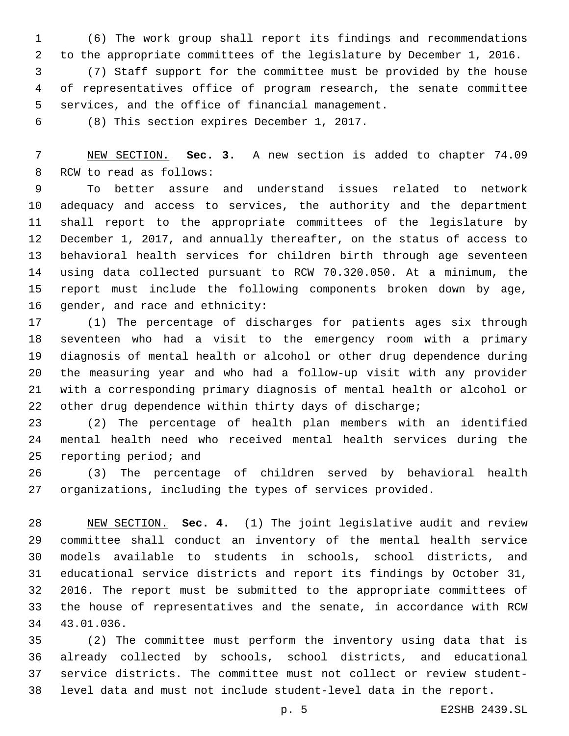(6) The work group shall report its findings and recommendations to the appropriate committees of the legislature by December 1, 2016.

 (7) Staff support for the committee must be provided by the house of representatives office of program research, the senate committee 5 services, and the office of financial management.

6 (8) This section expires December 1, 2017.

 NEW SECTION. **Sec. 3.** A new section is added to chapter 74.09 8 RCW to read as follows:

 To better assure and understand issues related to network adequacy and access to services, the authority and the department shall report to the appropriate committees of the legislature by December 1, 2017, and annually thereafter, on the status of access to behavioral health services for children birth through age seventeen using data collected pursuant to RCW 70.320.050. At a minimum, the report must include the following components broken down by age, 16 gender, and race and ethnicity:

 (1) The percentage of discharges for patients ages six through seventeen who had a visit to the emergency room with a primary diagnosis of mental health or alcohol or other drug dependence during the measuring year and who had a follow-up visit with any provider with a corresponding primary diagnosis of mental health or alcohol or other drug dependence within thirty days of discharge;

 (2) The percentage of health plan members with an identified mental health need who received mental health services during the 25 reporting period; and

 (3) The percentage of children served by behavioral health organizations, including the types of services provided.

 NEW SECTION. **Sec. 4.** (1) The joint legislative audit and review committee shall conduct an inventory of the mental health service models available to students in schools, school districts, and educational service districts and report its findings by October 31, 2016. The report must be submitted to the appropriate committees of the house of representatives and the senate, in accordance with RCW 43.01.036.

 (2) The committee must perform the inventory using data that is already collected by schools, school districts, and educational service districts. The committee must not collect or review student-level data and must not include student-level data in the report.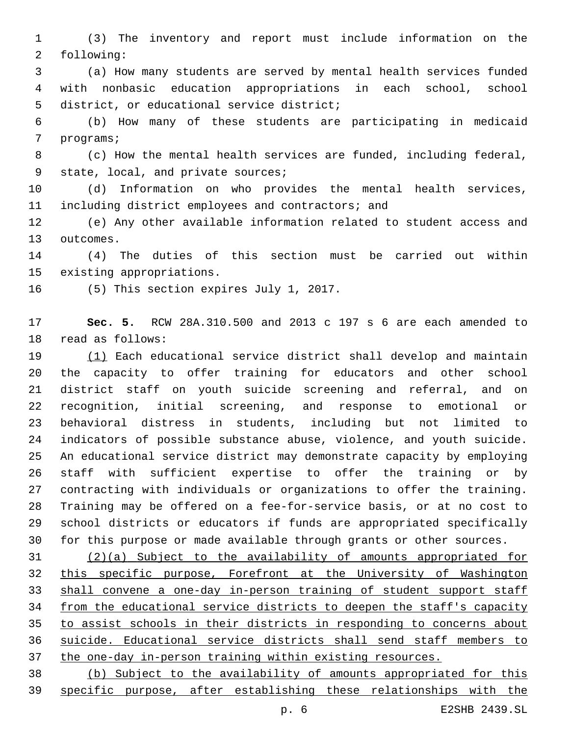(3) The inventory and report must include information on the 2 following:

 (a) How many students are served by mental health services funded with nonbasic education appropriations in each school, school 5 district, or educational service district;

 (b) How many of these students are participating in medicaid 7 programs;

 (c) How the mental health services are funded, including federal, 9 state, local, and private sources;

 (d) Information on who provides the mental health services, 11 including district employees and contractors; and

 (e) Any other available information related to student access and 13 outcomes.

 (4) The duties of this section must be carried out within 15 existing appropriations.

16 (5) This section expires July 1, 2017.

 **Sec. 5.** RCW 28A.310.500 and 2013 c 197 s 6 are each amended to 18 read as follows:

 (1) Each educational service district shall develop and maintain the capacity to offer training for educators and other school district staff on youth suicide screening and referral, and on recognition, initial screening, and response to emotional or behavioral distress in students, including but not limited to indicators of possible substance abuse, violence, and youth suicide. An educational service district may demonstrate capacity by employing staff with sufficient expertise to offer the training or by contracting with individuals or organizations to offer the training. Training may be offered on a fee-for-service basis, or at no cost to school districts or educators if funds are appropriated specifically for this purpose or made available through grants or other sources.

 (2)(a) Subject to the availability of amounts appropriated for this specific purpose, Forefront at the University of Washington shall convene a one-day in-person training of student support staff from the educational service districts to deepen the staff's capacity to assist schools in their districts in responding to concerns about suicide. Educational service districts shall send staff members to the one-day in-person training within existing resources.

 (b) Subject to the availability of amounts appropriated for this specific purpose, after establishing these relationships with the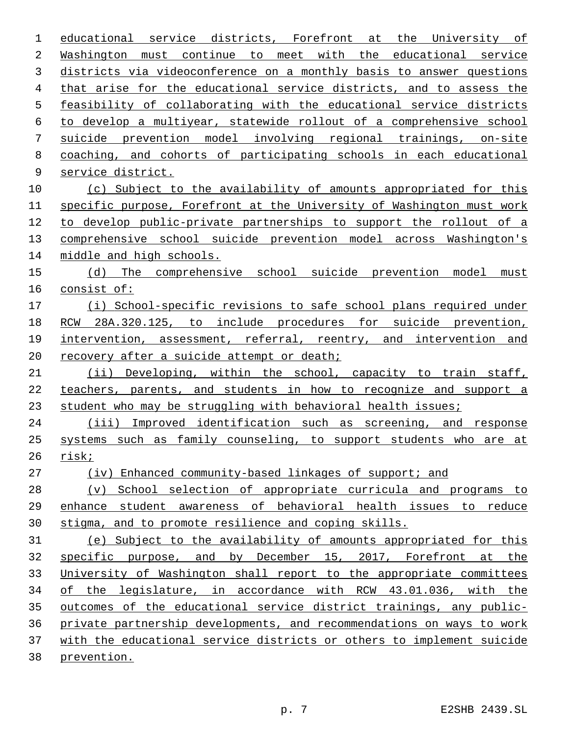educational service districts, Forefront at the University of Washington must continue to meet with the educational service districts via videoconference on a monthly basis to answer questions that arise for the educational service districts, and to assess the feasibility of collaborating with the educational service districts to develop a multiyear, statewide rollout of a comprehensive school suicide prevention model involving regional trainings, on-site coaching, and cohorts of participating schools in each educational 9 service district. (c) Subject to the availability of amounts appropriated for this specific purpose, Forefront at the University of Washington must work to develop public-private partnerships to support the rollout of a comprehensive school suicide prevention model across Washington's middle and high schools. (d) The comprehensive school suicide prevention model must consist of: (i) School-specific revisions to safe school plans required under RCW 28A.320.125, to include procedures for suicide prevention, 19 intervention, assessment, referral, reentry, and intervention and 20 recovery after a suicide attempt or death; (ii) Developing, within the school, capacity to train staff, teachers, parents, and students in how to recognize and support a student who may be struggling with behavioral health issues; (iii) Improved identification such as screening, and response systems such as family counseling, to support students who are at risk; (iv) Enhanced community-based linkages of support; and (v) School selection of appropriate curricula and programs to enhance student awareness of behavioral health issues to reduce stigma, and to promote resilience and coping skills. (e) Subject to the availability of amounts appropriated for this specific purpose, and by December 15, 2017, Forefront at the University of Washington shall report to the appropriate committees of the legislature, in accordance with RCW 43.01.036, with the outcomes of the educational service district trainings, any public- private partnership developments, and recommendations on ways to work with the educational service districts or others to implement suicide prevention.